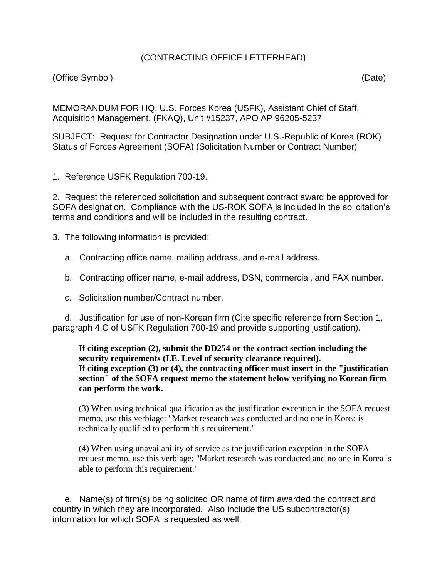## (CONTRACTING OFFICE LETTERHEAD)

## (Office Symbol) (Date)

MEMORANDUM FOR HQ, U.S. Forces Korea (USFK), Assistant Chief of Staff, Acquisition Management, (FKAQ), Unit #15237, APO AP 96205-5237

SUBJECT: Request for Contractor Designation under U.S.-Republic of Korea (ROK) Status of Forces Agreement (SOFA) (Solicitation Number or Contract Number)

1. Reference USFK Regulation 700-19.

2. Request the referenced solicitation and subsequent contract award be approved for SOFA designation. Compliance with the US-ROK SOFA is included in the solicitation's terms and conditions and will be included in the resulting contract.

- 3. The following information is provided:
	- a. Contracting office name, mailing address, and e-mail address.
	- b. Contracting officer name, e-mail address, DSN, commercial, and FAX number.
	- c. Solicitation number/Contract number.

 d. Justification for use of non-Korean firm (Cite specific reference from Section 1, paragraph 4.C of USFK Regulation 700-19 and provide supporting justification).

**If citing exception (2), submit the DD254 or the contract section including the security requirements (I.E. Level of security clearance required). If citing exception (3) or (4), the contracting officer must insert in the "justification section" of the SOFA request memo the statement below verifying no Korean firm can perform the work.**

(3) When using technical qualification as the justification exception in the SOFA request memo, use this verbiage: "Market research was conducted and no one in Korea is technically qualified to perform this requirement."

(4) When using unavailability of service as the justification exception in the SOFA request memo, use this verbiage: "Market research was conducted and no one in Korea is able to perform this requirement."

 e. Name(s) of firm(s) being solicited OR name of firm awarded the contract and country in which they are incorporated. Also include the US subcontractor(s) information for which SOFA is requested as well.